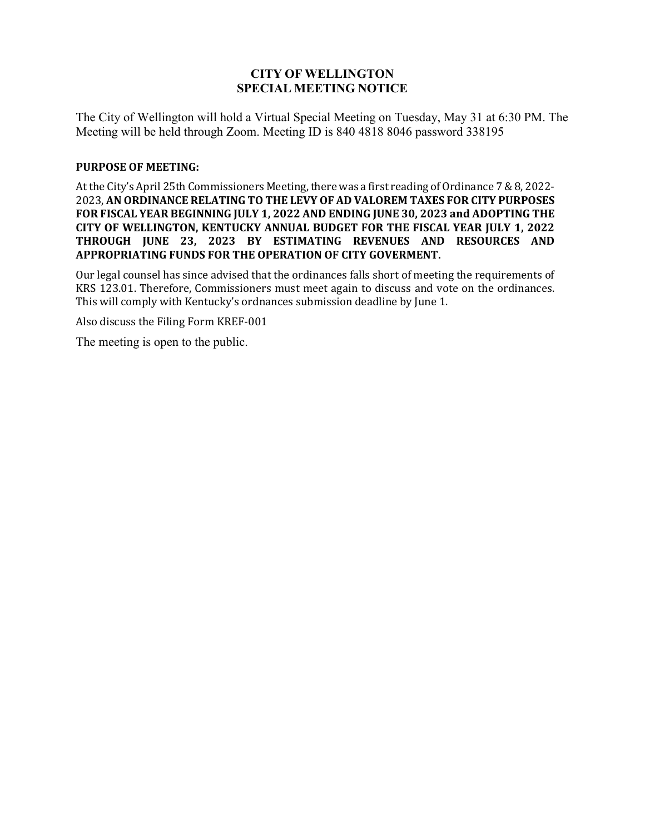# **CITY OF WELLINGTON SPECIAL MEETING NOTICE**

The City of Wellington will hold a Virtual Special Meeting on Tuesday, May 31 at 6:30 PM. The Meeting will be held through Zoom. Meeting ID is 840 4818 8046 password 338195

### **PURPOSE OF MEETING:**

At the City's April 25th Commissioners Meeting, there was a first reading of Ordinance 7 & 8, 2022- 2023, **AN ORDINANCE RELATING TO THE LEVY OF AD VALOREM TAXES FOR CITY PURPOSES FOR FISCAL YEAR BEGINNING JULY 1, 2022 AND ENDING JUNE 30, 2023 and ADOPTING THE CITY OF WELLINGTON, KENTUCKY ANNUAL BUDGET FOR THE FISCAL YEAR JULY 1, 2022 THROUGH JUNE 23, 2023 BY ESTIMATING REVENUES AND RESOURCES AND APPROPRIATING FUNDS FOR THE OPERATION OF CITY GOVERMENT.** 

Our legal counsel has since advised that the ordinances falls short of meeting the requirements of KRS 123.01. Therefore, Commissioners must meet again to discuss and vote on the ordinances. This will comply with Kentucky's ordnances submission deadline by June 1.

Also discuss the Filing Form KREF-001

The meeting is open to the public.